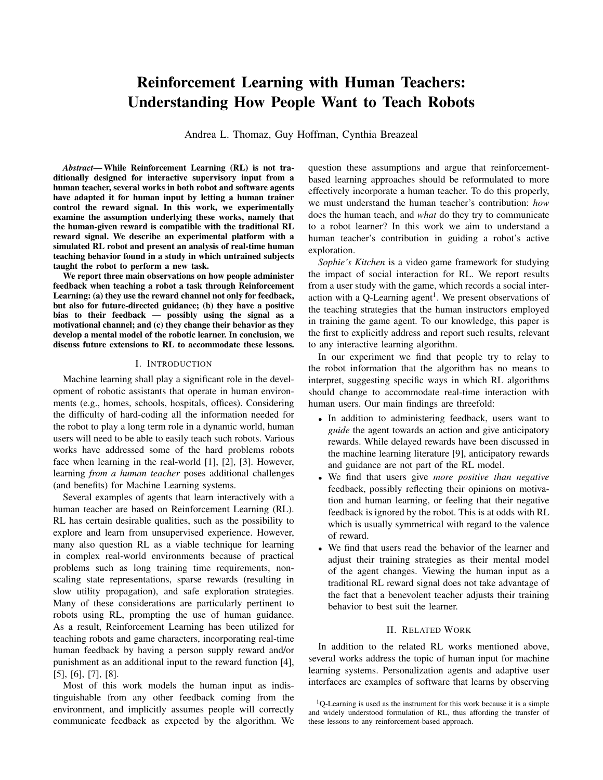# Reinforcement Learning with Human Teachers: Understanding How People Want to Teach Robots

Andrea L. Thomaz, Guy Hoffman, Cynthia Breazeal

*Abstract*— While Reinforcement Learning (RL) is not traditionally designed for interactive supervisory input from a human teacher, several works in both robot and software agents have adapted it for human input by letting a human trainer control the reward signal. In this work, we experimentally examine the assumption underlying these works, namely that the human-given reward is compatible with the traditional RL reward signal. We describe an experimental platform with a simulated RL robot and present an analysis of real-time human teaching behavior found in a study in which untrained subjects taught the robot to perform a new task.

We report three main observations on how people administer feedback when teaching a robot a task through Reinforcement Learning: (a) they use the reward channel not only for feedback, but also for future-directed guidance; (b) they have a positive bias to their feedback — possibly using the signal as a motivational channel; and (c) they change their behavior as they develop a mental model of the robotic learner. In conclusion, we discuss future extensions to RL to accommodate these lessons.

# I. INTRODUCTION

Machine learning shall play a significant role in the development of robotic assistants that operate in human environments (e.g., homes, schools, hospitals, offices). Considering the difficulty of hard-coding all the information needed for the robot to play a long term role in a dynamic world, human users will need to be able to easily teach such robots. Various works have addressed some of the hard problems robots face when learning in the real-world [1], [2], [3]. However, learning *from a human teacher* poses additional challenges (and benefits) for Machine Learning systems.

Several examples of agents that learn interactively with a human teacher are based on Reinforcement Learning (RL). RL has certain desirable qualities, such as the possibility to explore and learn from unsupervised experience. However, many also question RL as a viable technique for learning in complex real-world environments because of practical problems such as long training time requirements, nonscaling state representations, sparse rewards (resulting in slow utility propagation), and safe exploration strategies. Many of these considerations are particularly pertinent to robots using RL, prompting the use of human guidance. As a result, Reinforcement Learning has been utilized for teaching robots and game characters, incorporating real-time human feedback by having a person supply reward and/or punishment as an additional input to the reward function [4], [5], [6], [7], [8].

Most of this work models the human input as indistinguishable from any other feedback coming from the environment, and implicitly assumes people will correctly communicate feedback as expected by the algorithm. We question these assumptions and argue that reinforcementbased learning approaches should be reformulated to more effectively incorporate a human teacher. To do this properly, we must understand the human teacher's contribution: *how* does the human teach, and *what* do they try to communicate to a robot learner? In this work we aim to understand a human teacher's contribution in guiding a robot's active exploration.

*Sophie's Kitchen* is a video game framework for studying the impact of social interaction for RL. We report results from a user study with the game, which records a social interaction with a Q-Learning agent<sup>1</sup>. We present observations of the teaching strategies that the human instructors employed in training the game agent. To our knowledge, this paper is the first to explicitly address and report such results, relevant to any interactive learning algorithm.

In our experiment we find that people try to relay to the robot information that the algorithm has no means to interpret, suggesting specific ways in which RL algorithms should change to accommodate real-time interaction with human users. Our main findings are threefold:

- In addition to administering feedback, users want to *guide* the agent towards an action and give anticipatory rewards. While delayed rewards have been discussed in the machine learning literature [9], anticipatory rewards and guidance are not part of the RL model.
- We find that users give *more positive than negative* feedback, possibly reflecting their opinions on motivation and human learning, or feeling that their negative feedback is ignored by the robot. This is at odds with RL which is usually symmetrical with regard to the valence of reward.
- We find that users read the behavior of the learner and adjust their training strategies as their mental model of the agent changes. Viewing the human input as a traditional RL reward signal does not take advantage of the fact that a benevolent teacher adjusts their training behavior to best suit the learner.

# II. RELATED WORK

In addition to the related RL works mentioned above, several works address the topic of human input for machine learning systems. Personalization agents and adaptive user interfaces are examples of software that learns by observing

<sup>1</sup>Q-Learning is used as the instrument for this work because it is a simple and widely understood formulation of RL, thus affording the transfer of these lessons to any reinforcement-based approach.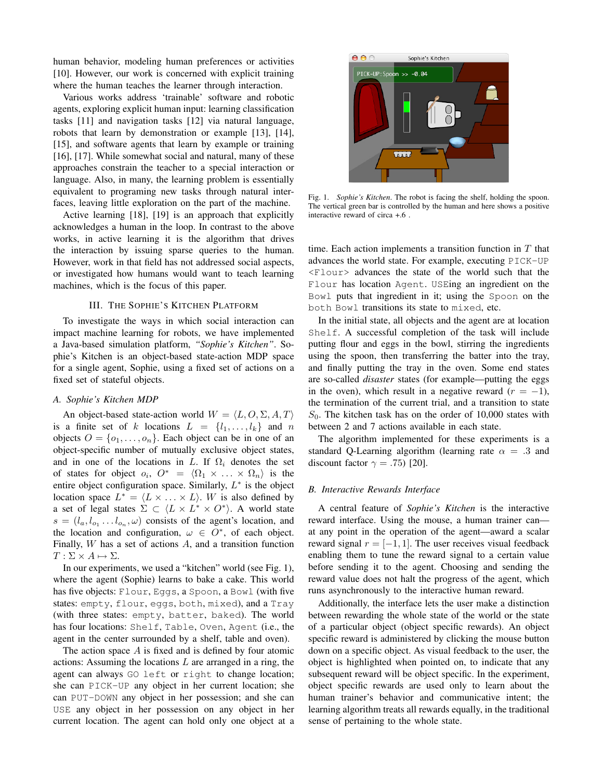human behavior, modeling human preferences or activities [10]. However, our work is concerned with explicit training where the human teaches the learner through interaction.

Various works address 'trainable' software and robotic agents, exploring explicit human input: learning classification tasks [11] and navigation tasks [12] via natural language, robots that learn by demonstration or example [13], [14], [15], and software agents that learn by example or training [16], [17]. While somewhat social and natural, many of these approaches constrain the teacher to a special interaction or language. Also, in many, the learning problem is essentially equivalent to programing new tasks through natural interfaces, leaving little exploration on the part of the machine.

Active learning [18], [19] is an approach that explicitly acknowledges a human in the loop. In contrast to the above works, in active learning it is the algorithm that drives the interaction by issuing sparse queries to the human. However, work in that field has not addressed social aspects, or investigated how humans would want to teach learning machines, which is the focus of this paper.

## III. THE SOPHIE'S KITCHEN PLATFORM

To investigate the ways in which social interaction can impact machine learning for robots, we have implemented a Java-based simulation platform, *"Sophie's Kitchen"*. Sophie's Kitchen is an object-based state-action MDP space for a single agent, Sophie, using a fixed set of actions on a fixed set of stateful objects.

# *A. Sophie's Kitchen MDP*

An object-based state-action world  $W = \langle L, O, \Sigma, A, T \rangle$ is a finite set of k locations  $L = \{l_1, \ldots, l_k\}$  and n objects  $O = \{o_1, \ldots, o_n\}$ . Each object can be in one of an object-specific number of mutually exclusive object states, and in one of the locations in L. If  $\Omega_i$  denotes the set of states for object  $o_i$ ,  $O^* = \langle \Omega_1 \times ... \times \Omega_n \rangle$  is the entire object configuration space. Similarly,  $L^*$  is the object location space  $L^* = \langle L \times ... \times L \rangle$ . W is also defined by a set of legal states  $\Sigma \subset \langle L \times L^* \times O^* \rangle$ . A world state  $s = (l_a, l_{o_1} \dots l_{o_n}, \omega)$  consists of the agent's location, and the location and configuration,  $\omega \in O^*$ , of each object. Finally, W has a set of actions A, and a transition function  $T : \Sigma \times A \mapsto \Sigma.$ 

In our experiments, we used a "kitchen" world (see Fig. 1), where the agent (Sophie) learns to bake a cake. This world has five objects: Flour, Eggs, a Spoon, a Bowl (with five states: empty, flour, eggs, both, mixed), and a Tray (with three states: empty, batter, baked). The world has four locations: Shelf, Table, Oven, Agent (i.e., the agent in the center surrounded by a shelf, table and oven).

The action space  $A$  is fixed and is defined by four atomic actions: Assuming the locations L are arranged in a ring, the agent can always GO left or right to change location; she can PICK-UP any object in her current location; she can PUT-DOWN any object in her possession; and she can USE any object in her possession on any object in her current location. The agent can hold only one object at a



Fig. 1. *Sophie's Kitchen*. The robot is facing the shelf, holding the spoon. The vertical green bar is controlled by the human and here shows a positive interactive reward of circa +.6 .

time. Each action implements a transition function in  $T$  that advances the world state. For example, executing PICK-UP <Flour> advances the state of the world such that the Flour has location Agent. USEing an ingredient on the Bowl puts that ingredient in it; using the Spoon on the both Bowl transitions its state to mixed, etc.

In the initial state, all objects and the agent are at location Shelf. A successful completion of the task will include putting flour and eggs in the bowl, stirring the ingredients using the spoon, then transferring the batter into the tray, and finally putting the tray in the oven. Some end states are so-called *disaster* states (for example—putting the eggs in the oven), which result in a negative reward  $(r = -1)$ , the termination of the current trial, and a transition to state  $S_0$ . The kitchen task has on the order of 10,000 states with between 2 and 7 actions available in each state.

The algorithm implemented for these experiments is a standard Q-Learning algorithm (learning rate  $\alpha = .3$  and discount factor  $\gamma = .75$ ) [20].

## *B. Interactive Rewards Interface*

A central feature of *Sophie's Kitchen* is the interactive reward interface. Using the mouse, a human trainer can at any point in the operation of the agent—award a scalar reward signal  $r = [-1, 1]$ . The user receives visual feedback enabling them to tune the reward signal to a certain value before sending it to the agent. Choosing and sending the reward value does not halt the progress of the agent, which runs asynchronously to the interactive human reward.

Additionally, the interface lets the user make a distinction between rewarding the whole state of the world or the state of a particular object (object specific rewards). An object specific reward is administered by clicking the mouse button down on a specific object. As visual feedback to the user, the object is highlighted when pointed on, to indicate that any subsequent reward will be object specific. In the experiment, object specific rewards are used only to learn about the human trainer's behavior and communicative intent; the learning algorithm treats all rewards equally, in the traditional sense of pertaining to the whole state.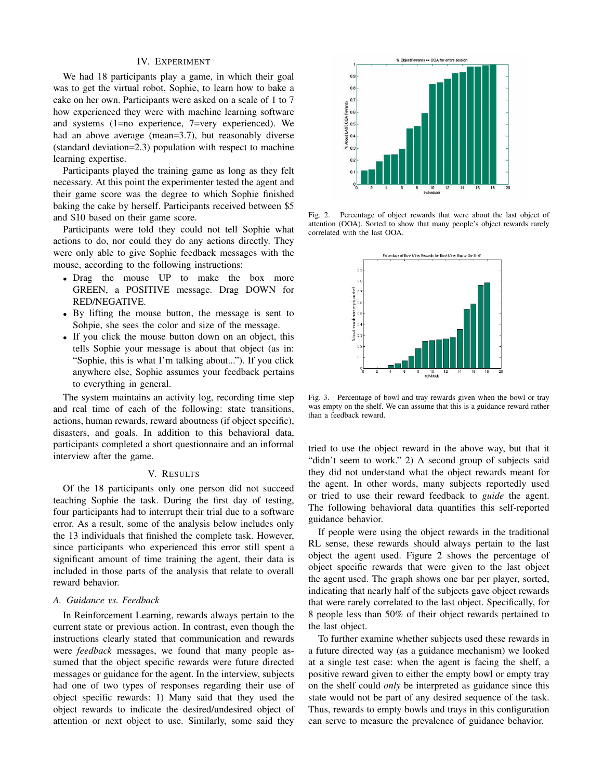#### IV. EXPERIMENT

We had 18 participants play a game, in which their goal was to get the virtual robot, Sophie, to learn how to bake a cake on her own. Participants were asked on a scale of 1 to 7 how experienced they were with machine learning software and systems (1=no experience, 7=very experienced). We had an above average (mean=3.7), but reasonably diverse (standard deviation=2.3) population with respect to machine learning expertise.

Participants played the training game as long as they felt necessary. At this point the experimenter tested the agent and their game score was the degree to which Sophie finished baking the cake by herself. Participants received between \$5 and \$10 based on their game score.

Participants were told they could not tell Sophie what actions to do, nor could they do any actions directly. They were only able to give Sophie feedback messages with the mouse, according to the following instructions:

- Drag the mouse UP to make the box more GREEN, a POSITIVE message. Drag DOWN for RED/NEGATIVE.
- By lifting the mouse button, the message is sent to Sohpie, she sees the color and size of the message.
- If you click the mouse button down on an object, this tells Sophie your message is about that object (as in: "Sophie, this is what I'm talking about..."). If you click anywhere else, Sophie assumes your feedback pertains to everything in general.

The system maintains an activity log, recording time step and real time of each of the following: state transitions, actions, human rewards, reward aboutness (if object specific), disasters, and goals. In addition to this behavioral data, participants completed a short questionnaire and an informal interview after the game.

## V. RESULTS

Of the 18 participants only one person did not succeed teaching Sophie the task. During the first day of testing, four participants had to interrupt their trial due to a software error. As a result, some of the analysis below includes only the 13 individuals that finished the complete task. However, since participants who experienced this error still spent a significant amount of time training the agent, their data is included in those parts of the analysis that relate to overall reward behavior.

#### *A. Guidance vs. Feedback*

In Reinforcement Learning, rewards always pertain to the current state or previous action. In contrast, even though the instructions clearly stated that communication and rewards were *feedback* messages, we found that many people assumed that the object specific rewards were future directed messages or guidance for the agent. In the interview, subjects had one of two types of responses regarding their use of object specific rewards: 1) Many said that they used the object rewards to indicate the desired/undesired object of attention or next object to use. Similarly, some said they



Fig. 2. Percentage of object rewards that were about the last object of attention (OOA). Sorted to show that many people's object rewards rarely correlated with the last OOA.



Fig. 3. Percentage of bowl and tray rewards given when the bowl or tray was empty on the shelf. We can assume that this is a guidance reward rather than a feedback reward.

tried to use the object reward in the above way, but that it "didn't seem to work." 2) A second group of subjects said they did not understand what the object rewards meant for the agent. In other words, many subjects reportedly used or tried to use their reward feedback to *guide* the agent. The following behavioral data quantifies this self-reported guidance behavior.

If people were using the object rewards in the traditional RL sense, these rewards should always pertain to the last object the agent used. Figure 2 shows the percentage of object specific rewards that were given to the last object the agent used. The graph shows one bar per player, sorted, indicating that nearly half of the subjects gave object rewards that were rarely correlated to the last object. Specifically, for 8 people less than 50% of their object rewards pertained to the last object.

To further examine whether subjects used these rewards in a future directed way (as a guidance mechanism) we looked at a single test case: when the agent is facing the shelf, a positive reward given to either the empty bowl or empty tray on the shelf could *only* be interpreted as guidance since this state would not be part of any desired sequence of the task. Thus, rewards to empty bowls and trays in this configuration can serve to measure the prevalence of guidance behavior.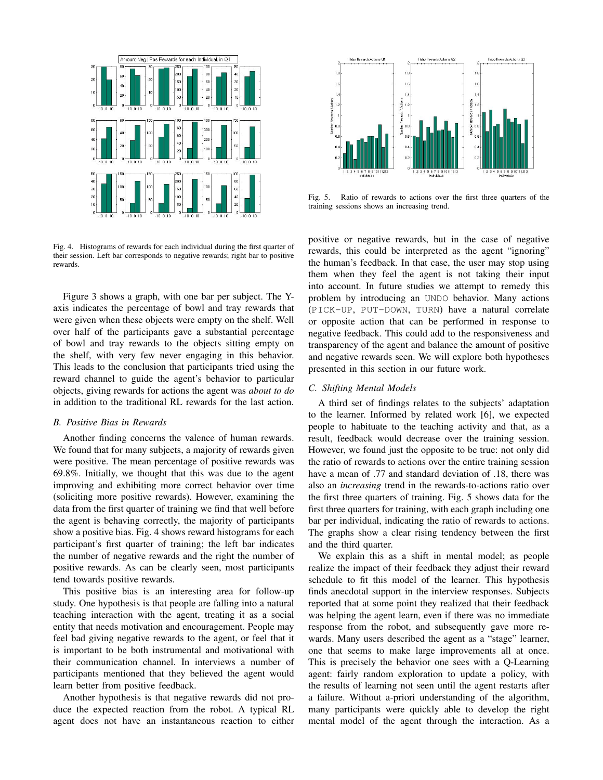

Fig. 4. Histograms of rewards for each individual during the first quarter of their session. Left bar corresponds to negative rewards; right bar to positive rewards.

Figure 3 shows a graph, with one bar per subject. The Yaxis indicates the percentage of bowl and tray rewards that were given when these objects were empty on the shelf. Well over half of the participants gave a substantial percentage of bowl and tray rewards to the objects sitting empty on the shelf, with very few never engaging in this behavior. This leads to the conclusion that participants tried using the reward channel to guide the agent's behavior to particular objects, giving rewards for actions the agent was *about to do* in addition to the traditional RL rewards for the last action.

# *B. Positive Bias in Rewards*

Another finding concerns the valence of human rewards. We found that for many subjects, a majority of rewards given were positive. The mean percentage of positive rewards was 69.8%. Initially, we thought that this was due to the agent improving and exhibiting more correct behavior over time (soliciting more positive rewards). However, examining the data from the first quarter of training we find that well before the agent is behaving correctly, the majority of participants show a positive bias. Fig. 4 shows reward histograms for each participant's first quarter of training; the left bar indicates the number of negative rewards and the right the number of positive rewards. As can be clearly seen, most participants tend towards positive rewards.

This positive bias is an interesting area for follow-up study. One hypothesis is that people are falling into a natural teaching interaction with the agent, treating it as a social entity that needs motivation and encouragement. People may feel bad giving negative rewards to the agent, or feel that it is important to be both instrumental and motivational with their communication channel. In interviews a number of participants mentioned that they believed the agent would learn better from positive feedback.

Another hypothesis is that negative rewards did not produce the expected reaction from the robot. A typical RL agent does not have an instantaneous reaction to either



Fig. 5. Ratio of rewards to actions over the first three quarters of the training sessions shows an increasing trend.

positive or negative rewards, but in the case of negative rewards, this could be interpreted as the agent "ignoring" the human's feedback. In that case, the user may stop using them when they feel the agent is not taking their input into account. In future studies we attempt to remedy this problem by introducing an UNDO behavior. Many actions (PICK-UP, PUT-DOWN, TURN) have a natural correlate or opposite action that can be performed in response to negative feedback. This could add to the responsiveness and transparency of the agent and balance the amount of positive and negative rewards seen. We will explore both hypotheses presented in this section in our future work.

## *C. Shifting Mental Models*

A third set of findings relates to the subjects' adaptation to the learner. Informed by related work [6], we expected people to habituate to the teaching activity and that, as a result, feedback would decrease over the training session. However, we found just the opposite to be true: not only did the ratio of rewards to actions over the entire training session have a mean of .77 and standard deviation of .18, there was also an *increasing* trend in the rewards-to-actions ratio over the first three quarters of training. Fig. 5 shows data for the first three quarters for training, with each graph including one bar per individual, indicating the ratio of rewards to actions. The graphs show a clear rising tendency between the first and the third quarter.

We explain this as a shift in mental model; as people realize the impact of their feedback they adjust their reward schedule to fit this model of the learner. This hypothesis finds anecdotal support in the interview responses. Subjects reported that at some point they realized that their feedback was helping the agent learn, even if there was no immediate response from the robot, and subsequently gave more rewards. Many users described the agent as a "stage" learner, one that seems to make large improvements all at once. This is precisely the behavior one sees with a Q-Learning agent: fairly random exploration to update a policy, with the results of learning not seen until the agent restarts after a failure. Without a-priori understanding of the algorithm, many participants were quickly able to develop the right mental model of the agent through the interaction. As a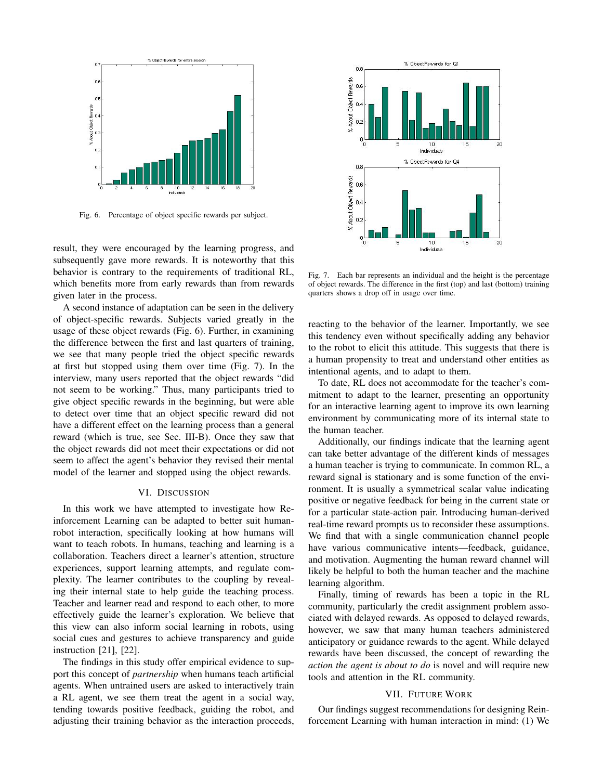

Fig. 6. Percentage of object specific rewards per subject.

result, they were encouraged by the learning progress, and subsequently gave more rewards. It is noteworthy that this behavior is contrary to the requirements of traditional RL, which benefits more from early rewards than from rewards given later in the process.

A second instance of adaptation can be seen in the delivery of object-specific rewards. Subjects varied greatly in the usage of these object rewards (Fig. 6). Further, in examining the difference between the first and last quarters of training, we see that many people tried the object specific rewards at first but stopped using them over time (Fig. 7). In the interview, many users reported that the object rewards "did not seem to be working." Thus, many participants tried to give object specific rewards in the beginning, but were able to detect over time that an object specific reward did not have a different effect on the learning process than a general reward (which is true, see Sec. III-B). Once they saw that the object rewards did not meet their expectations or did not seem to affect the agent's behavior they revised their mental model of the learner and stopped using the object rewards.

# VI. DISCUSSION

In this work we have attempted to investigate how Reinforcement Learning can be adapted to better suit humanrobot interaction, specifically looking at how humans will want to teach robots. In humans, teaching and learning is a collaboration. Teachers direct a learner's attention, structure experiences, support learning attempts, and regulate complexity. The learner contributes to the coupling by revealing their internal state to help guide the teaching process. Teacher and learner read and respond to each other, to more effectively guide the learner's exploration. We believe that this view can also inform social learning in robots, using social cues and gestures to achieve transparency and guide instruction [21], [22].

The findings in this study offer empirical evidence to support this concept of *partnership* when humans teach artificial agents. When untrained users are asked to interactively train a RL agent, we see them treat the agent in a social way, tending towards positive feedback, guiding the robot, and adjusting their training behavior as the interaction proceeds,



Fig. 7. Each bar represents an individual and the height is the percentage of object rewards. The difference in the first (top) and last (bottom) training quarters shows a drop off in usage over time.

reacting to the behavior of the learner. Importantly, we see this tendency even without specifically adding any behavior to the robot to elicit this attitude. This suggests that there is a human propensity to treat and understand other entities as intentional agents, and to adapt to them.

To date, RL does not accommodate for the teacher's commitment to adapt to the learner, presenting an opportunity for an interactive learning agent to improve its own learning environment by communicating more of its internal state to the human teacher.

Additionally, our findings indicate that the learning agent can take better advantage of the different kinds of messages a human teacher is trying to communicate. In common RL, a reward signal is stationary and is some function of the environment. It is usually a symmetrical scalar value indicating positive or negative feedback for being in the current state or for a particular state-action pair. Introducing human-derived real-time reward prompts us to reconsider these assumptions. We find that with a single communication channel people have various communicative intents—feedback, guidance, and motivation. Augmenting the human reward channel will likely be helpful to both the human teacher and the machine learning algorithm.

Finally, timing of rewards has been a topic in the RL community, particularly the credit assignment problem associated with delayed rewards. As opposed to delayed rewards, however, we saw that many human teachers administered anticipatory or guidance rewards to the agent. While delayed rewards have been discussed, the concept of rewarding the *action the agent is about to do* is novel and will require new tools and attention in the RL community.

# VII. FUTURE WORK

Our findings suggest recommendations for designing Reinforcement Learning with human interaction in mind: (1) We